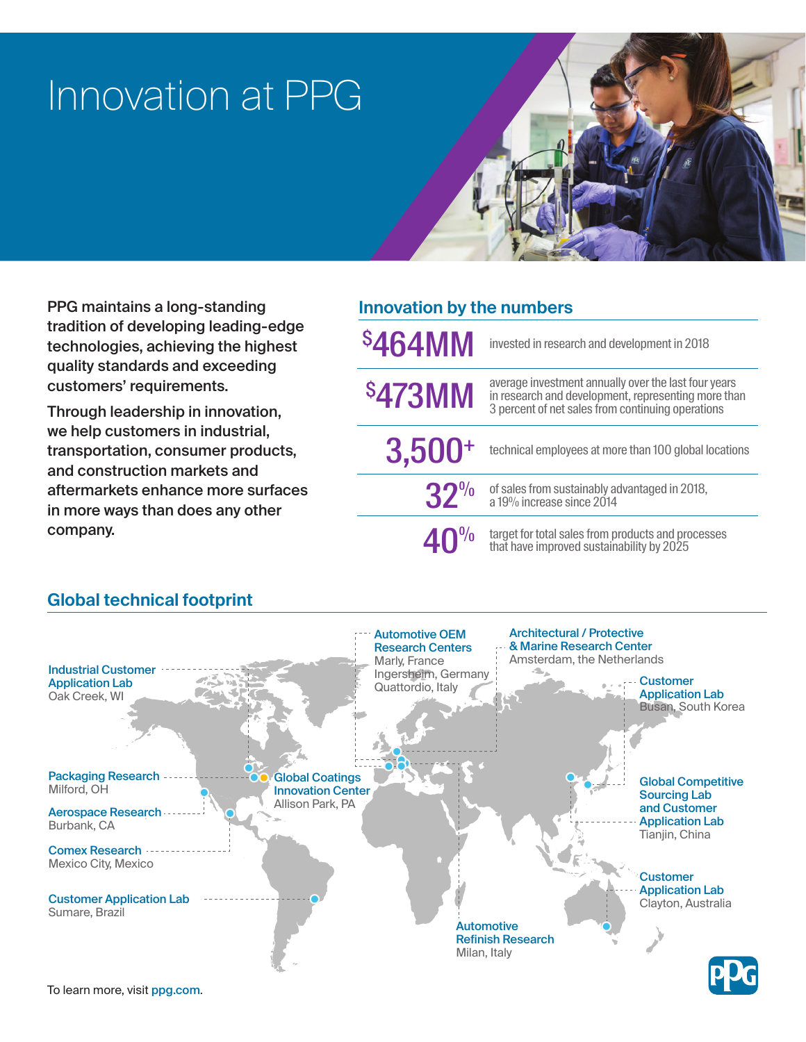# Innovation at PPG



PPG maintains a long-standing tradition of developing leading-edge technologies, achieving the highest quality standards and exceeding customers' requirements.

Through leadership in innovation, we help customers in industrial, transportation, consumer products, and construction markets and aftermarkets enhance more surfaces in more ways than does any other company.

| <b>Innovation by the numbers</b> |                                                                                                                                                                  |
|----------------------------------|------------------------------------------------------------------------------------------------------------------------------------------------------------------|
| \$464MM                          | invested in research and development in 2018                                                                                                                     |
| \$473MM                          | average investment annually over the last four years<br>in research and development, representing more than<br>3 percent of net sales from continuing operations |
| $3,500+$                         | technical employees at more than 100 global locations                                                                                                            |
| $32\%$                           | of sales from sustainably advantaged in 2018,<br>a 19% increase since 2014                                                                                       |
| $40^{\frac{9}{0}}$               | target for total sales from products and processes<br>that have improved sustainability by 2025                                                                  |

### **Global technical footprint**